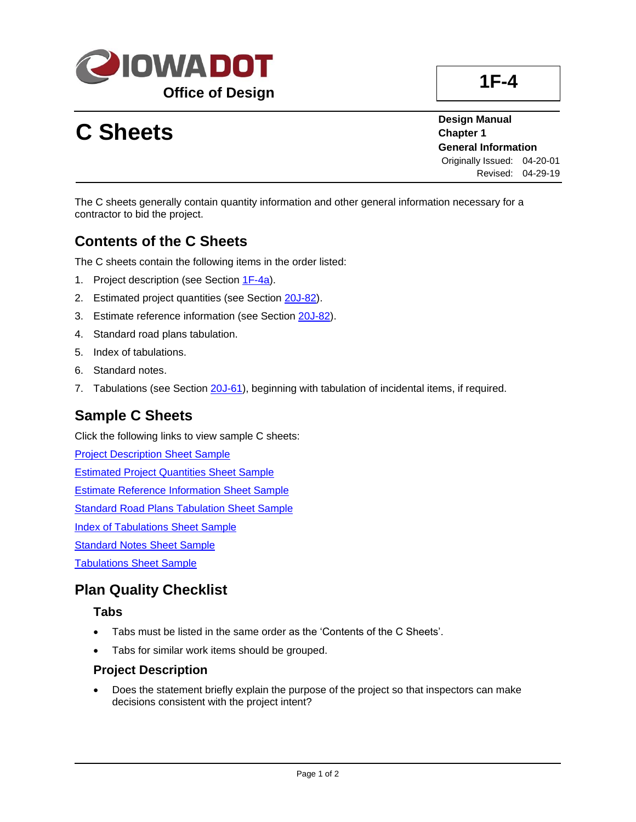

# **C Sheets**

**Design Manual Chapter 1 General Information** Originally Issued: 04-20-01 Revised: 04-29-19

The C sheets generally contain quantity information and other general information necessary for a contractor to bid the project.

## **Contents of the C Sheets**

The C sheets contain the following items in the order listed:

- 1. Project description (see Section [1F-4a\)](01f-04a.pdf).
- 2. Estimated project quantities (see Section [20J-82\)](20J-82.pdf).
- 3. Estimate reference information (see Section [20J-82\)](20J-82.pdf).
- 4. Standard road plans tabulation.
- 5. Index of tabulations.
- 6. Standard notes.
- 7. Tabulations (see Section [20J-61\)](20J-61.pdf), beginning with tabulation of incidental items, if required.

## **Sample C Sheets**

Click the following links to view sample C sheets:

[Project Description Sheet Sample](01f-04/ProjectDescriptionSheetSample.pdf)

[Estimated Project Quantities Sheet Sample](01f-04/EstimatedProjectQuantitiesSheetSample.pdf)

[Estimate Reference Information Sheet Sample](01f-04/EstimateReferenceInformationSheetSample.pdf)

[Standard Road Plans Tabulation Sheet Sample](01f-04/StandardRoadPlansTabulationsSheetSample.pdf)

[Index of Tabulations Sheet Sample](01f-04/IndexofTabulationsSheetSample.pdf)

[Standard Notes Sheet Sample](01f-04/StandardNotesSheetSample.pdf)

[Tabulations Sheet Sample](01f-04/TabulationSheetSample.pdf)

## **Plan Quality Checklist**

#### **Tabs**

- Tabs must be listed in the same order as the 'Contents of the C Sheets'.
- Tabs for similar work items should be grouped.

#### **Project Description**

• Does the statement briefly explain the purpose of the project so that inspectors can make decisions consistent with the project intent?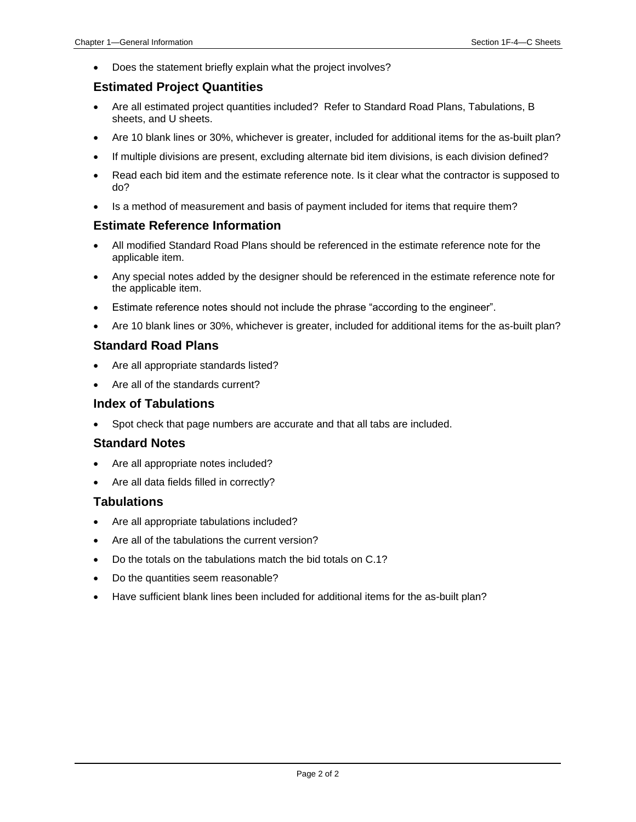• Does the statement briefly explain what the project involves?

#### **Estimated Project Quantities**

- Are all estimated project quantities included? Refer to Standard Road Plans, Tabulations, B sheets, and U sheets.
- Are 10 blank lines or 30%, whichever is greater, included for additional items for the as-built plan?
- If multiple divisions are present, excluding alternate bid item divisions, is each division defined?
- Read each bid item and the estimate reference note. Is it clear what the contractor is supposed to do?
- Is a method of measurement and basis of payment included for items that require them?

#### **Estimate Reference Information**

- All modified Standard Road Plans should be referenced in the estimate reference note for the applicable item.
- Any special notes added by the designer should be referenced in the estimate reference note for the applicable item.
- Estimate reference notes should not include the phrase "according to the engineer".
- Are 10 blank lines or 30%, whichever is greater, included for additional items for the as-built plan?

#### **Standard Road Plans**

- Are all appropriate standards listed?
- Are all of the standards current?

#### **Index of Tabulations**

• Spot check that page numbers are accurate and that all tabs are included.

#### **Standard Notes**

- Are all appropriate notes included?
- Are all data fields filled in correctly?

#### **Tabulations**

- Are all appropriate tabulations included?
- Are all of the tabulations the current version?
- Do the totals on the tabulations match the bid totals on C.1?
- Do the quantities seem reasonable?
- Have sufficient blank lines been included for additional items for the as-built plan?